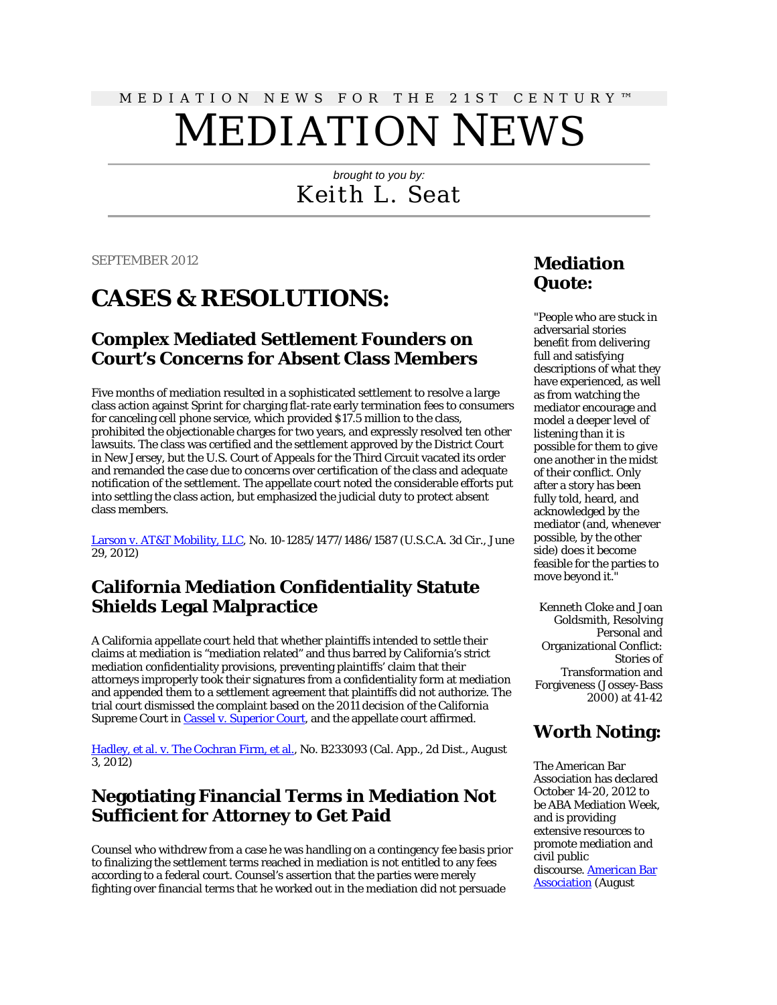# MEDIATION NEWS FOR THE 21ST CENTURY™ MEDIATION NEWS

# *brought to you by:* Keith L. Seat

SEPTEMBER 2012

# **CASES & RESOLUTIONS:**

#### **Complex Mediated Settlement Founders on Court's Concerns for Absent Class Members**

Five months of mediation resulted in a sophisticated settlement to resolve a large class action against Sprint for charging flat-rate early termination fees to consumers for canceling cell phone service, which provided \$17.5 million to the class, prohibited the objectionable charges for two years, and expressly resolved ten other lawsuits. The class was certified and the settlement approved by the District Court in New Jersey, but the U.S. Court of Appeals for the Third Circuit vacated its order and remanded the case due to concerns over certification of the class and adequate notification of the settlement. The appellate court noted the considerable efforts put into settling the class action, but emphasized the judicial duty to protect absent class members.

[Larson v. AT&T Mobility, LLC,](http://scholar.google.com/scholar_case?case=1578549172186947574&hl=en&lr=lang_en&as_sdt=2,9&as_vis=1&oi=scholaralrt) No. 10-1285/1477/1486/1587 (U.S.C.A. 3d Cir., June 29, 2012)

#### **California Mediation Confidentiality Statute Shields Legal Malpractice**

A California appellate court held that whether plaintiffs intended to settle their claims at mediation is "mediation related" and thus barred by California's strict mediation confidentiality provisions, preventing plaintiffs' claim that their attorneys improperly took their signatures from a confidentiality form at mediation and appended them to a settlement agreement that plaintiffs did not authorize. The trial court dismissed the complaint based on the 2011 decision of the California Supreme Court in [Cassel v. Superior Court,](http://scholar.google.com/scholar_case?case=13735814519465166183&hl=en&lr=lang_en&as_sdt=2,9&as_vis=1) and the appellate court affirmed.

[Hadley, et al. v. The Cochran Firm, et al.,](http://scholar.google.com/scholar_case?case=1883693563429018175&hl=en&lr=lang_en&as_sdt=2,9&as_vis=1&oi=scholaralrt) No. B233093 (Cal. App., 2d Dist., August 3, 2012)

#### **Negotiating Financial Terms in Mediation Not Sufficient for Attorney to Get Paid**

Counsel who withdrew from a case he was handling on a contingency fee basis prior to finalizing the settlement terms reached in mediation is not entitled to any fees according to a federal court. Counsel's assertion that the parties were merely fighting over financial terms that he worked out in the mediation did not persuade

#### **Mediation Quote:**

"People who are stuck in adversarial stories benefit from delivering full and satisfying descriptions of what they have experienced, as well as from watching the mediator encourage and model a deeper level of listening than it is possible for them to give one another in the midst of their conflict. Only after a story has been fully told, heard, and acknowledged by the mediator (and, whenever possible, by the other side) does it become feasible for the parties to move beyond it."

Kenneth Cloke and Joan Goldsmith, Resolving Personal and Organizational Conflict: Stories of Transformation and Forgiveness (Jossey-Bass 2000) at 41-42

#### **Worth Noting:**

The American Bar Association has declared October 14-20, 2012 to be ABA Mediation Week, and is providing extensive resources to promote mediation and civil public discourse. [American Bar](http://www.americanbar.org/groups/dispute_resolution/events_cle/mediation_week.html)  [Association](http://www.americanbar.org/groups/dispute_resolution/events_cle/mediation_week.html) (August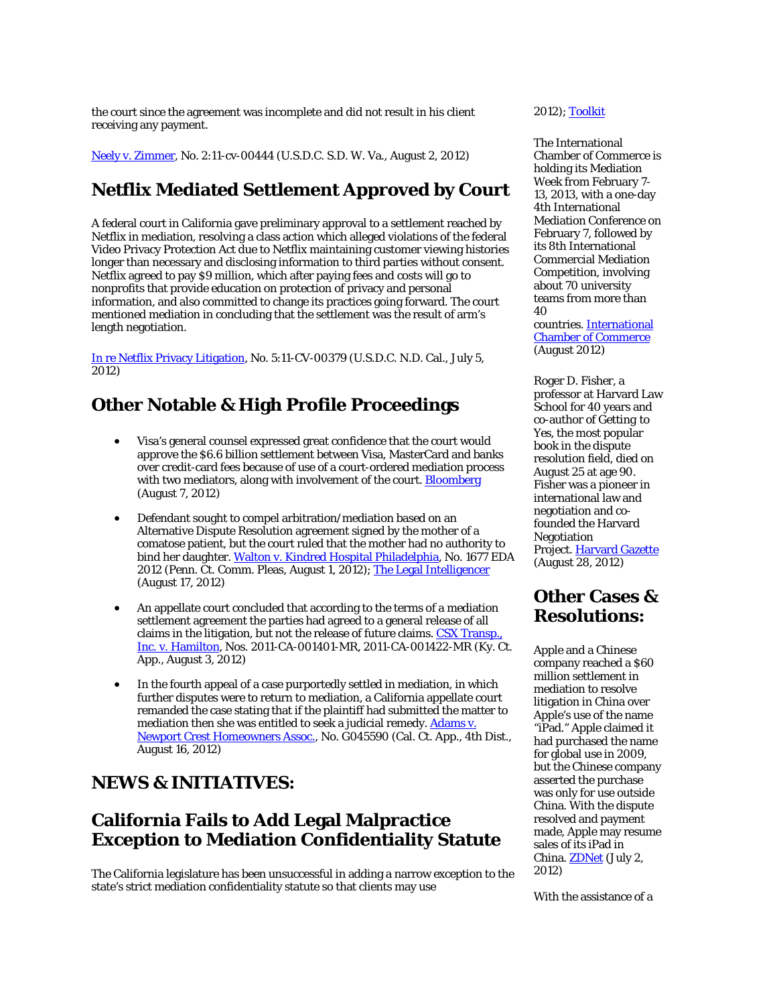the court since the agreement was incomplete and did not result in his client receiving any payment.

[Neely v. Zimmer,](http://scholar.google.com/scholar_case?case=17565853807063230442&hl=en&lr=lang_en&as_sdt=2,9&as_vis=1&oi=scholaralrt) No. 2:11-cv-00444 (U.S.D.C. S.D. W. Va., August 2, 2012)

# **Netflix Mediated Settlement Approved by Court**

A federal court in California gave preliminary approval to a settlement reached by Netflix in mediation, resolving a class action which alleged violations of the federal Video Privacy Protection Act due to Netflix maintaining customer viewing histories longer than necessary and disclosing information to third parties without consent. Netflix agreed to pay \$9 million, which after paying fees and costs will go to nonprofits that provide education on protection of privacy and personal information, and also committed to change its practices going forward. The court mentioned mediation in concluding that the settlement was the result of arm's length negotiation.

[In re Netflix Privacy Litigation,](http://scholar.google.com/scholar_case?case=15686761888309380088&hl=en&lr=lang_en&as_sdt=2,9&as_vis=1&oi=scholaralrt) No. 5:11-CV-00379 (U.S.D.C. N.D. Cal., July 5, 2012)

# **Other Notable & High Profile Proceedings**

- Visa's general counsel expressed great confidence that the court would approve the \$6.6 billion settlement between Visa, MasterCard and banks over credit-card fees because of use of a court-ordered mediation process with two mediators, along with involvement of the court. **Bloomberg** (August 7, 2012)
- Defendant sought to compel arbitration/mediation based on an Alternative Dispute Resolution agreement signed by the mother of a comatose patient, but the court ruled that the mother had no authority to bind her daughter[. Walton v. Kindred Hospital Philadelphia,](http://www.scnursinghomelaw.com/uploads/file/Waltonv_KindredPatrialct2012-parentcan) No. 1677 EDA 2012 (Penn. Ct. Comm. Pleas, August 1, 2012)[; The Legal Intelligencer](http://www.law.com/jsp/pa/PubArticlePA.jsp?hubtype=CourtNews&id=1202567921534&Judge_Rejects_ADR_Agreement_Signed_by_Plaintiffs_Mother) (August 17, 2012)
- An appellate court concluded that according to the terms of a mediation settlement agreement the parties had agreed to a general release of all claims in the litigation, but not the release of future claims. [CSX Transp.,](http://scholar.google.com/scholar_case?case=2936185875243845160&hl=en&lr=lang_en&as_sdt=2,9&as_vis=1&oi=scholaralrt)  [Inc. v. Hamilton,](http://scholar.google.com/scholar_case?case=2936185875243845160&hl=en&lr=lang_en&as_sdt=2,9&as_vis=1&oi=scholaralrt) Nos. 2011-CA-001401-MR, 2011-CA-001422-MR (Ky. Ct. App., August 3, 2012)
- In the fourth appeal of a case purportedly settled in mediation, in which further disputes were to return to mediation, a California appellate court remanded the case stating that if the plaintiff had submitted the matter to mediation then she was entitled to seek a judicial remedy. Adams v. [Newport Crest Homeowners Assoc.,](http://scholar.google.com/scholar_case?case=10424440068496865497&hl=en&lr=lang_en&as_sdt=2,9&as_vis=1&oi=scholaralrt) No. G045590 (Cal. Ct. App., 4th Dist., August 16, 2012)

#### **NEWS & INITIATIVES:**

# **California Fails to Add Legal Malpractice Exception to Mediation Confidentiality Statute**

The California legislature has been unsuccessful in adding a narrow exception to the state's strict mediation confidentiality statute so that clients may use

2012)[; Toolkit](http://www.americanbar.org/groups/dispute_resolution/resources/mediation_week_toolkit.html)

The International Chamber of Commerce is holding its Mediation Week from February 7- 13, 2013, with a one-day 4th International Mediation Conference on February 7, followed by its 8th International Commercial Mediation Competition, involving about 70 university teams from more than 40

countries. [International](http://www.iccwbo.org/training-and-events/competitions-and-awards/mediation-competition/)  [Chamber of Commerce](http://www.iccwbo.org/training-and-events/competitions-and-awards/mediation-competition/) (August 2012)

Roger D. Fisher, a professor at Harvard Law School for 40 years and co-author of *Getting to Yes*, the most popular book in the dispute resolution field, died on August 25 at age 90. Fisher was a pioneer in international law and negotiation and cofounded the Harvard Negotiation Project[. Harvard Gazette](http://news.harvard.edu/gazette/story/2012/08/hls-professor-roger-fisher-dies/) (August 28, 2012)

# **Other Cases & Resolutions:**

Apple and a Chinese company reached a \$60 million settlement in mediation to resolve litigation in China over Apple's use of the name "iPad." Apple claimed it had purchased the name for global use in 2009, but the Chinese company asserted the purchase was only for use outside China. With the dispute resolved and payment made, Apple may resume sales of its iPad in China[. ZDNet](http://www.zdnet.com/apple-pays-60m-to-settle-ipad-trademark-dispute-7000000079/) (July 2, 2012)

With the assistance of a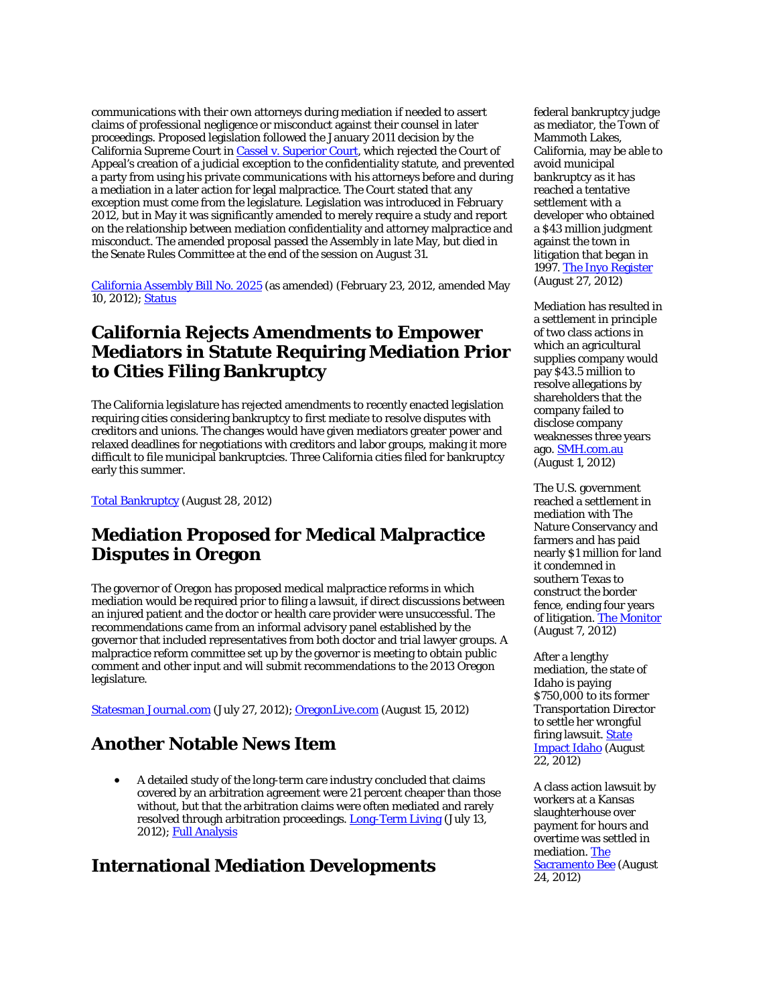communications with their own attorneys during mediation if needed to assert claims of professional negligence or misconduct against their counsel in later proceedings. Proposed legislation followed the January 2011 decision by the California Supreme Court i[n Cassel v. Superior Court,](http://www.courtinfo.ca.gov/opinions/documents/S178914.PDF) which rejected the Court of Appeal's creation of a judicial exception to the confidentiality statute, and prevented a party from using his private communications with his attorneys before and during a mediation in a later action for legal malpractice. The Court stated that any exception must come from the legislature. Legislation was introduced in February 2012, but in May it was significantly amended to merely require a study and report on the relationship between mediation confidentiality and attorney malpractice and misconduct. The amended proposal passed the Assembly in late May, but died in the Senate Rules Committee at the end of the session on August 31.

[California Assembly Bill No. 2025](http://www.leginfo.ca.gov/pub/11-12/bill/asm/ab_2001-2050/ab_2025_bill_20120510_amended_asm_v98.pdf) (as amended) (February 23, 2012, amended May 10, 2012); [Status](http://www.leginfo.ca.gov/pub/11-12/bill/asm/ab_2001-2050/ab_2025_bill_20120607_status.html)

#### **California Rejects Amendments to Empower Mediators in Statute Requiring Mediation Prior to Cities Filing Bankruptcy**

The California legislature has rejected amendments to recently enacted legislation requiring cities considering bankruptcy to first mediate to resolve disputes with creditors and unions. The changes would have given mediators greater power and relaxed deadlines for negotiations with creditors and labor groups, making it more difficult to file municipal bankruptcies. Three California cities filed for bankruptcy early this summer.

[Total Bankruptcy](http://www.totalbankruptcy.com/bankruptcy-news/bankruptcy-laws/california-municipal-laws-800157171.aspx) (August 28, 2012)

# **Mediation Proposed for Medical Malpractice Disputes in Oregon**

The governor of Oregon has proposed medical malpractice reforms in which mediation would be required prior to filing a lawsuit, if direct discussions between an injured patient and the doctor or health care provider were unsuccessful. The recommendations came from an informal advisory panel established by the governor that included representatives from both doctor and trial lawyer groups. A malpractice reform committee set up by the governor is meeting to obtain public comment and other input and will submit recommendations to the 2013 Oregon legislature.

[Statesman Journal.com](http://www.statesmanjournal.com/viewart/20120727/NEWS/307270027/Governor-urges-mediation-malpractice-cases) (July 27, 2012)[; OregonLive.com](http://www.oregonlive.com/portland/index.ssf/2012/08/oregon_malpractice_reform_comm.html) (August 15, 2012)

#### **Another Notable News Item**

• A detailed study of the long-term care industry concluded that claims covered by an arbitration agreement were 21 percent cheaper than those without, but that the arbitration claims were often mediated and rarely resolved through arbitration proceedings. **Long-Term Living** (July 13, 2012); [Full Analysis](http://www.ahcancal.org/research_data/liability/Documents/2012_LongTermCare_Report_full.pdf)

#### **International Mediation Developments**

federal bankruptcy judge as mediator, the Town of Mammoth Lakes, California, may be able to avoid municipal bankruptcy as it has reached a tentative settlement with a developer who obtained a \$43 million judgment against the town in litigation that began in 1997[. The Inyo Register](http://www.inyoregister.com/node/3246) (August 27, 2012)

Mediation has resulted in a settlement in principle of two class actions in which an agricultural supplies company would pay \$43.5 million to resolve allegations by shareholders that the company failed to disclose company weaknesses three years ago. [SMH.com.au](http://www.smh.com.au/business/nufarm-to-settle-class-action-for-435-million-20120801-23ejc.html) (August 1, 2012)

The U.S. government reached a settlement in mediation with The Nature Conservancy and farmers and has paid nearly \$1 million for land it condemned in southern Texas to construct the border fence, ending four years of litigation. [The Monitor](http://www.themonitor.com/news/fence-62827-government-border.html) (August 7, 2012)

After a lengthy mediation, the state of Idaho is paying \$750,000 to its former Transportation Director to settle her wrongful firing lawsuit[. State](http://stateimpact.npr.org/idaho/jp/idaho-spends-1-34-million-on-wrongful-firing-lawsuit/)  [Impact Idaho](http://stateimpact.npr.org/idaho/jp/idaho-spends-1-34-million-on-wrongful-firing-lawsuit/) (August 22, 2012)

A class action lawsuit by workers at a Kansas slaughterhouse over payment for hours and overtime was settled in mediation[. The](http://www.sacbee.com/2012/08/24/4753749/kansas-slaughterhouse-settles.html)  <u>[Sacramento Bee](http://www.sacbee.com/2012/08/24/4753749/kansas-slaughterhouse-settles.html)</u> (August 24, 2012)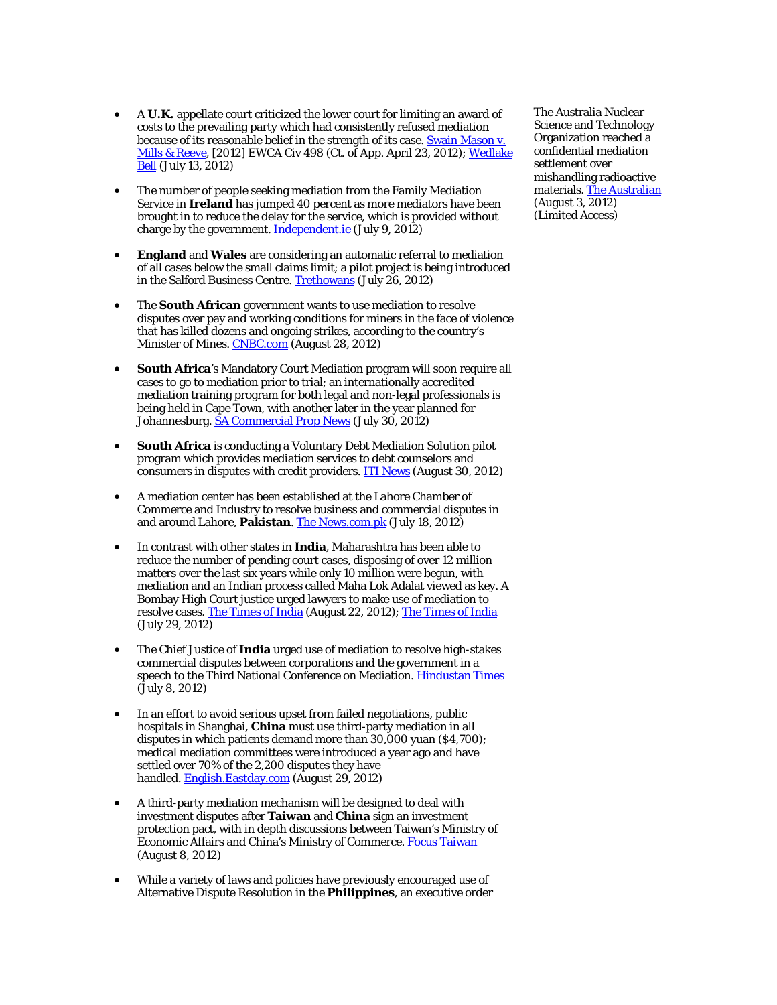- A **U.K.** appellate court criticized the lower court for limiting an award of costs to the prevailing party which had consistently refused mediation because of its reasonable belief in the strength of its case. **Swain Mason v.** [Mills & Reeve,](http://www.bailii.org/ew/cases/EWCA/Civ/2012/498.html) [2012] EWCA Civ 498 (Ct. of App. April 23, 2012); Wedlake [Bell](http://www.wedlakebell.com/index.php?option=com_flexicontent&view=items&cid=208&id=2112&Itemid=10) (July 13, 2012)
- The number of people seeking mediation from the Family Mediation Service in **Ireland** has jumped 40 percent as more mediators have been brought in to reduce the delay for the service, which is provided without charge by the government. **Independent.ie** (July 9, 2012)
- **England** and **Wales** are considering an automatic referral to mediation of all cases below the small claims limit; a pilot project is being introduced in the Salford Business Centre[. Trethowans](http://www.trethowans.com/site/library/legalnews/mediation_is_the_way_forward) (July 26, 2012)
- The **South African** government wants to use mediation to resolve disputes over pay and working conditions for miners in the face of violence that has killed dozens and ongoing strikes, according to the country's Minister of Mines. [CNBC.com](http://www.cnbc.com/id/48810762) (August 28, 2012)
- **South Africa**'s Mandatory Court Mediation program will soon require all cases to go to mediation prior to trial; an internationally accredited mediation training program for both legal and non-legal professionals is being held in Cape Town, with another later in the year planned for Johannesburg. [SA Commercial Prop News](http://www.sacommercialpropnews.co.za/business-specialties/property-education-training/5106-rics-launches-first-training-programme-on-dispute-resolution.html) (July 30, 2012)
- **South Africa** is conducting a Voluntary Debt Mediation Solution pilot program which provides mediation services to debt counselors and consumers in disputes with credit providers[. ITI News](http://www.itinews.co.za/companyview.aspx?cocategoryid=3&companyid=22815&itemid=2208D04C-BAB1-4EDB-A9A7-83D0337BCF51) (August 30, 2012)
- A mediation center has been established at the Lahore Chamber of Commerce and Industry to resolve business and commercial disputes in and around Lahore, **Pakistan**[. The News.com.pk](http://www.thenews.com.pk/Todays-News-3-121016-Mediation-centre-established-at-LCCI) (July 18, 2012)
- In contrast with other states in **India**, Maharashtra has been able to reduce the number of pending court cases, disposing of over 12 million matters over the last six years while only 10 million were begun, with mediation and an Indian process called Maha Lok Adalat viewed as key. A Bombay High Court justice urged lawyers to make use of mediation to resolve cases[. The Times of India](http://articles.timesofindia.indiatimes.com/2012-08-22/nagpur/33321353_1_maha-lok-adalat-huge-pendency-crore-cases) (August 22, 2012); [The Times of India](http://articles.timesofindia.indiatimes.com/2012-07-29/nashik/32922668_1_aurangabad-vaijapur-bar-council) (July 29, 2012)
- The Chief Justice of **India** urged use of mediation to resolve high-stakes commercial disputes between corporations and the government in a speech to the Third National Conference on Mediation[. Hindustan Times](http://www.hindustantimes.com/India-news/NewDelhi/CJ-advocates-mediation-to-resolve-commercial-disputes/Article1-885132.aspx) (July 8, 2012)
- In an effort to avoid serious upset from failed negotiations, public hospitals in Shanghai, **China** must use third-party mediation in all disputes in which patients demand more than 30,000 yuan (\$4,700); medical mediation committees were introduced a year ago and have settled over 70% of the 2,200 disputes they have handled. [English.Eastday.com](http://english.eastday.com/e/120829/u1a6820760.html) (August 29, 2012)
- A third-party mediation mechanism will be designed to deal with investment disputes after **Taiwan** and **China** sign an investment protection pact, with in depth discussions between Taiwan's Ministry of Economic Affairs and China's Ministry of Commerce. [Focus Taiwan](http://focustaiwan.tw/ShowNews/WebNews_Detail.aspx?Type=aECO&ID=201208080054) (August 8, 2012)
- While a variety of laws and policies have previously encouraged use of Alternative Dispute Resolution in the **Philippines**, an executive order

The Australia Nuclear Science and Technology Organization reached a confidential mediation settlement over mishandling radioactive materials[. The Australian](http://www.theaustralian.com.au/news/health-science/mediation-ends-radioactive-dispute/story-e6frg8y6-1226441700611) (August 3, 2012) (Limited Access)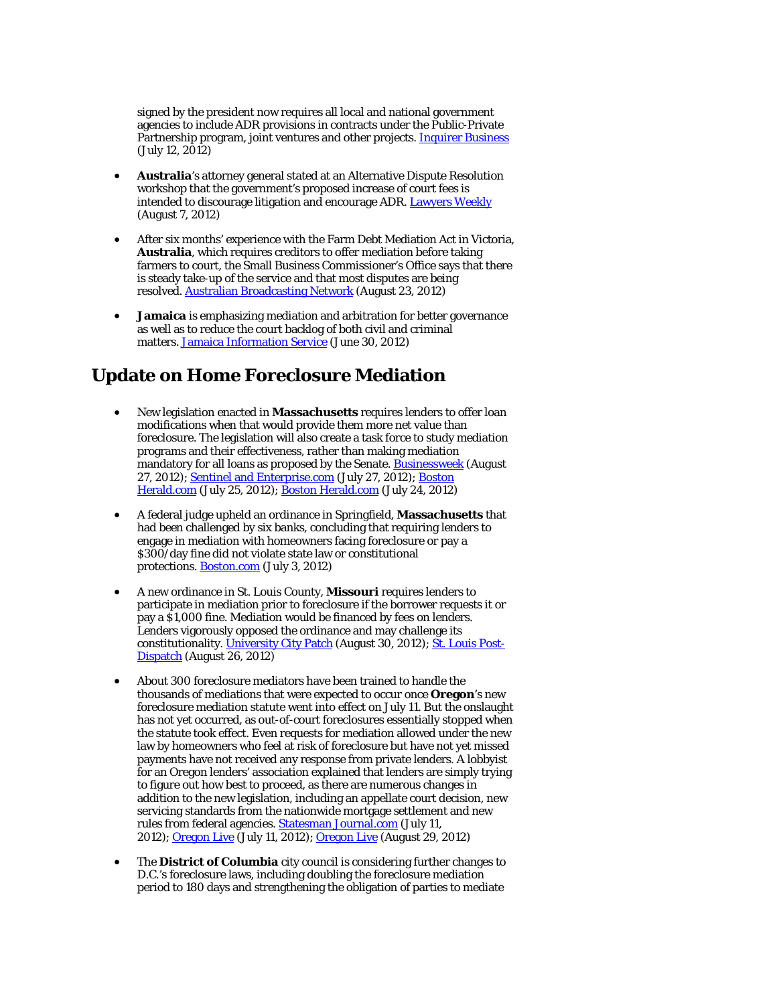signed by the president now requires all local and national government agencies to include ADR provisions in contracts under the Public-Private Partnership program, joint ventures and other projects[. Inquirer Business](http://business.inquirer.net/70609/ppp-proponents-told-to-ready-dispute-resolution-modes) (July 12, 2012)

- **Australia**'s attorney general stated at an Alternative Dispute Resolution workshop that the government's proposed increase of court fees is intended to discourage litigation and encourage ADR. [Lawyers Weekly](http://www.lawyersweekly.com.au/news/ag-backs-fee-hike-to-encourage-adr) (August 7, 2012)
- After six months' experience with the Farm Debt Mediation Act in Victoria, **Australia**, which requires creditors to offer mediation before taking farmers to court, the Small Business Commissioner's Office says that there is steady take-up of the service and that most disputes are being resolved. [Australian Broadcasting Network](http://www.abc.net.au/news/2012-08-23/mediation-helping-resolve-farm-disputes/4217814) (August 23, 2012)
- **Jamaica** is emphasizing mediation and arbitration for better governance as well as to reduce the court backlog of both civil and criminal matters[. Jamaica Information Service](http://www.jis.gov.jm/news/leads/31093) (June 30, 2012)

# **Update on Home Foreclosure Mediation**

- New legislation enacted in **Massachusetts** requires lenders to offer loan modifications when that would provide them more net value than foreclosure. The legislation will also create a task force to study mediation programs and their effectiveness, rather than making mediation mandatory for all loans as proposed by the Senate. [Businessweek](http://www.businessweek.com/ap/2012-08-27/mass-dot-ag-to-discuss-foreclosure-prevention-program) (August 27, 2012); [Sentinel and Enterprise.com](http://www.sentinelandenterprise.com/local/ci_21171894/senate-oks-foreclosure-reform-bill?source=rss) (July 27, 2012); Boston [Herald.com](http://news.bostonherald.com/business/real_estate/view/20120725legislative_negotiators_agree_on_foreclosure_prevention_bill/srvc=home&position=also) (July 25, 2012)[; Boston Herald.com](http://www.bostonherald.com/business/real_estate/view.bg?articleid=1061148169&srvc=business&position=recent) (July 24, 2012)
- A federal judge upheld an ordinance in Springfield, **Massachusetts** that had been challenged by six banks, concluding that requiring lenders to engage in mediation with homeowners facing foreclosure or pay a \$300/day fine did not violate state law or constitutional protections[. Boston.com](http://www.boston.com/news/local/massachusetts/articles/2012/07/03/mass_judge_upholds_anti_foreclosure_ordinances/) (July 3, 2012)
- A new ordinance in St. Louis County, **Missouri** requires lenders to participate in mediation prior to foreclosure if the borrower requests it or pay a \$1,000 fine. Mediation would be financed by fees on lenders. Lenders vigorously opposed the ordinance and may challenge its constitutionality. [University City Patch](http://universitycity.patch.com/articles/new-mediation-bill-for-lenders-sponsored-by-u-city-s-councilwoman) (August 30, 2012)[; St. Louis Post-](http://www.stltoday.com/business/columns/jim-gallagher/foreclosure-mediation-angers-bankers-pleases-housing-advocates/article_92970e80-e8bc-11e1-8a25-0019bb30f31a.html)[Dispatch](http://www.stltoday.com/business/columns/jim-gallagher/foreclosure-mediation-angers-bankers-pleases-housing-advocates/article_92970e80-e8bc-11e1-8a25-0019bb30f31a.html) (August 26, 2012)
- About 300 foreclosure mediators have been trained to handle the thousands of mediations that were expected to occur once **Oregon**'s new foreclosure mediation statute went into effect on July 11. But the onslaught has not yet occurred, as out-of-court foreclosures essentially stopped when the statute took effect. Even requests for mediation allowed under the new law by homeowners who feel at risk of foreclosure but have not yet missed payments have not received any response from private lenders. A lobbyist for an Oregon lenders' association explained that lenders are simply trying to figure out how best to proceed, as there are numerous changes in addition to the new legislation, including an appellate court decision, new servicing standards from the nationwide mortgage settlement and new rules from federal agencies. Statesman [Journal.com](http://www.statesmanjournal.com/article/20120712/NEWS/307120021/More-than-55-receive-training-new-foreclosure-mediation-program?odyssey=tab|topnews|text|News&nclick_check=1) (July 11, 2012); [Oregon Live](http://www.oregonlive.com/front-porch/index.ssf/2012/08/lenders_not_engaging_in_oregon.html) (July 11, 2012); Oregon Live (August 29, 2012)
- The **District of Columbia** city council is considering further changes to D.C.'s foreclosure laws, including doubling the foreclosure mediation period to 180 days and strengthening the obligation of parties to mediate